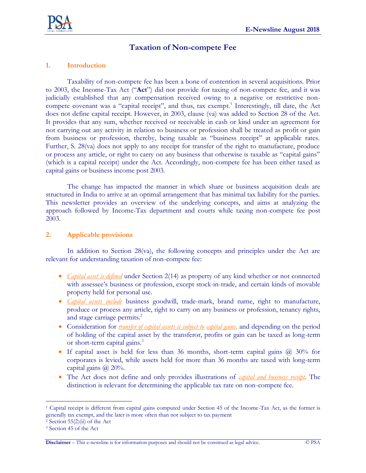

# **Taxation of Non-compete Fee**

#### **1. Introduction**

Taxability of non-compete fee has been a bone of contention in several acquisitions. Prior to 2003, the Income-Tax Act ("**Act**") did not provide for taxing of non-compete fee, and it was judicially established that any compensation received owing to a negative or restrictive noncompete covenant was a "capital receipt", and thus, tax exempt.<sup>1</sup> Interestingly, till date, the Act does not define capital receipt. However, in 2003, clause (va) was added to Section 28 of the Act. It provides that any sum, whether received or receivable in cash or kind under an agreement for not carrying out any activity in relation to business or profession shall be treated as profit or gain from business or profession, thereby, being taxable as "business receipt" at applicable rates. Further, S. 28(va) does not apply to any receipt for transfer of the right to manufacture, produce or process any article, or right to carry on any business that otherwise is taxable as "capital gains" (which is a capital receipt) under the Act. Accordingly, non-compete fee has been either taxed as capital gains or business income post 2003.

The change has impacted the manner in which share or business acquisition deals are structured in India to arrive at an optimal arrangement that has minimal tax liability for the parties. This newsletter provides an overview of the underlying concepts, and aims at analyzing the approach followed by Income-Tax department and courts while taxing non-compete fee post 2003.

#### **2. Applicable provisions**

In addition to Section 28(va), the following concepts and principles under the Act are relevant for understanding taxation of non-compete fee:

- *Capital asset is defined* under Section 2(14) as property of any kind whether or not connected with assessee's business or profession, except stock-in-trade, and certain kinds of movable property held for personal use.
- *Capital assets include* business goodwill, trade-mark, brand name, right to manufacture, produce or process any article, right to carry on any business or profession, tenancy rights, and stage carriage permits.<sup>2</sup>
- Consideration for *transfer of capital assets is subject to capital gains*, and depending on the period of holding of the capital asset by the transferor, profits or gain can be taxed as long-term or short-term capital gains.<sup>3</sup>
- If capital asset is held for less than 36 months, short-term capital gains  $\omega$  30% for corporates is levied, while assets held for more than 36 months are taxed with long-term capital gains  $\omega$  20%.
- The Act does not define and only provides illustrations of *capital and business receipt*. The distinction is relevant for determining the applicable tax rate on non-compete fee.

 $\overline{a}$ 

<sup>1</sup> Capital receipt is different from capital gains computed under Section 45 of the Income-Tax Act, as the former is generally tax exempt, and the later is more often than not subject to tax payment

 $2$  Section 55(2)(ii) of the Act

<sup>3</sup> Section 45 of the Act

**Disclaimer** – This e-newsline is for information purposes and should not be construed as legal advice. © PSA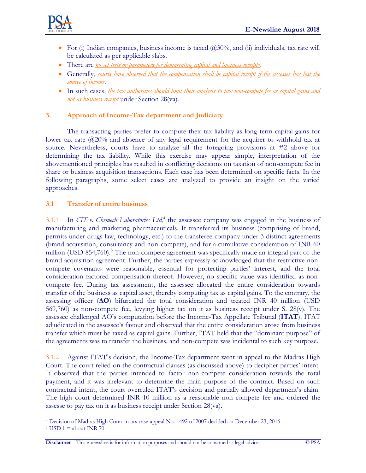

- For (i) Indian companies, business income is taxed  $(20,30)$ %, and (ii) individuals, tax rate will be calculated as per applicable slabs.
- There are *no set tests or parameters for demarcating capital and business receipts*.
- Generally, *courts have observed that the compensation shall be capital receipt if the assessee has lost the source of income*.
- In such cases, *the tax authorities should limit their analysis to tax non-compete fee as capital gains and not as business receipt* under Section 28(va).

## **3. Approach of Income-Tax department and Judiciary**

The transacting parties prefer to compute their tax liability as long-term capital gains for lower tax rate  $\omega$ 20% and absence of any legal requirement for the acquirer to withhold tax at source. Nevertheless, courts have to analyze all the foregoing provisions at #2 above for determining the tax liability. While this exercise may appear simple, interpretation of the abovementioned principles has resulted in conflicting decisions on taxation of non-compete fee in share or business acquisition transactions. Each case has been determined on specific facts. In the following paragraphs, some select cases are analyzed to provide an insight on the varied approaches.

#### **3.1 Transfer of entire business**

3.1.1 In *CIT v. Chemech Laboratories Ltd*, 4 the assessee company was engaged in the business of manufacturing and marketing pharmaceuticals. It transferred its business (comprising of brand, permits under drugs law, technology, etc.) to the transferee company under 3 distinct agreements (brand acquisition, consultancy and non-compete), and for a cumulative consideration of INR 60 million (USD 854,760).<sup>5</sup> The non-compete agreement was specifically made an integral part of the brand acquisition agreement. Further, the parties expressly acknowledged that the restrictive noncompete covenants were reasonable, essential for protecting parties' interest, and the total consideration factored compensation thereof. However, no specific value was identified as noncompete fee. During tax assessment, the assessee allocated the entire consideration towards transfer of the business as capital asset, thereby computing tax as capital gains. To the contrary, the assessing officer (**AO**) bifurcated the total consideration and treated INR 40 million (USD 569,760) as non-compete fee, levying higher tax on it as business receipt under S. 28(v). The assessee challenged AO's computation before the Income-Tax Appellate Tribunal (**ITAT**). ITAT adjudicated in the assessee's favour and observed that the entire consideration arose from business transfer which must be taxed as capital gains. Further, ITAT held that the "dominant purpose" of the agreements was to transfer the business, and non-compete was incidental to such key purpose.

3.1.2 Against ITAT's decision, the Income-Tax department went in appeal to the Madras High Court. The court relied on the contractual clauses (as discussed above) to decipher parties' intent. It observed that the parties intended to factor non-compete consideration towards the total payment, and it was irrelevant to determine the main purpose of the contract. Based on such contractual intent, the court overruled ITAT's decision and partially allowed department's claim. The high court determined INR 10 million as a reasonable non-compete fee and ordered the assesse to pay tax on it as business receipt under Section 28(va).

 $\overline{a}$ <sup>4</sup> Decision of Madras High Court in tax case appeal No. 1492 of 2007 decided on December 23, 2016

<sup>&</sup>lt;sup>5</sup> USD 1 = about INR 70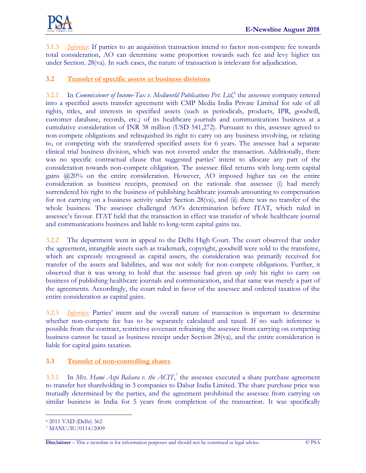

3.1.3 *Inference*: If parties to an acquisition transaction intend to factor non-compete fee towards total consideration, AO can determine some proportion towards such fee and levy higher tax under Section. 28(va). In such cases, the nature of transaction is irrelevant for adjudication.

## **3.2 Transfer of specific assets or business divisions**

3.2.1 In *Commissioner of Income-Tax v. Mediworld Publications Pvt. Ltd*,<sup>6</sup> the assessee company entered into a specified assets transfer agreement with CMP Media India Private Limited for sale of all rights, titles, and interests in specified assets (such as periodicals, products, IPR, goodwill, customer database, records, etc.) of its healthcare journals and communications business at a cumulative consideration of INR 38 million (USD 541,272). Pursuant to this, assessee agreed to non-compete obligations and relinquished its right to carry on any business involving, or relating to, or competing with the transferred specified assets for 6 years. The assessee had a separate clinical trial business division, which was not covered under the transaction. Additionally, there was no specific contractual clause that suggested parties' intent to allocate any part of the consideration towards non-compete obligation. The assessee filed returns with long-term capital gains @20% on the entire consideration. However, AO imposed higher tax on the entire consideration as business receipts, premised on the rationale that assessee (i) had merely surrendered his right to the business of publishing healthcare journals amounting to compensation for not carrying on a business activity under Section 28(va), and (ii) there was no transfer of the whole business. The assessee challenged AO's determination before ITAT, which ruled in assessee's favour. ITAT held that the transaction in effect was transfer of whole healthcare journal and communications business and liable to long-term capital gains tax.

3.2.2 The department went in appeal to the Delhi High Court. The court observed that under the agreement, intangible assets such as trademark, copyright, goodwill were sold to the transferee, which are expressly recognised as capital assets, the consideration was primarily received for transfer of the assets and liabilities, and was not solely for non-compete obligations. Further, it observed that it was wrong to hold that the assessee had given up only his right to carry on business of publishing healthcare journals and communication, and that same was merely a part of the agreements. Accordingly, the court ruled in favor of the assessee and ordered taxation of the entire consideration as capital gains.

3.2.3 *Inference:* Parties' intent and the overall nature of transaction is important to determine whether non-compete fee has to be separately calculated and taxed. If no such inference is possible from the contract, restrictive covenant refraining the assessee from carrying on competing business cannot be taxed as business receipt under Section 28(va), and the entire consideration is liable for capital gains taxation.

# **3.3 Transfer of non-controlling shares**

3.3.1 In *Mrs. Hami Aspi Balsara v. the ACIT*,<sup>7</sup> the assessee executed a share purchase agreement to transfer her shareholding in 3 companies to Dabur India Limited. The share purchase price was mutually determined by the parties, and the agreement prohibited the assessee from carrying on similar business in India for 5 years from completion of the transaction. It was specifically

 $\overline{a}$ 

<sup>6</sup> 2011 VAD (Delhi) 362

<sup>7</sup> MANU/IU/0114/2009

**Disclaimer** – This e-newsline is for information purposes and should not be construed as legal advice. © PSA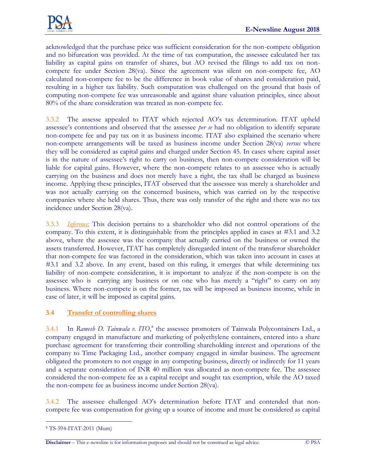acknowledged that the purchase price was sufficient consideration for the non-compete obligation and no bifurcation was provided. At the time of tax computation, the assessee calculated her tax liability as capital gains on transfer of shares, but AO revised the filings to add tax on noncompete fee under Section 28(va). Since the agreement was silent on non-compete fee, AO calculated non-compete fee to be the difference in book value of shares and consideration paid, resulting in a higher tax liability. Such computation was challenged on the ground that basis of computing non-compete fee was unreasonable and against share valuation principles, since about 80% of the share consideration was treated as non-compete fee.

3.3.2 The assesse appealed to ITAT which rejected AO's tax determination. ITAT upheld assessee's contentions and observed that the assessee *per se* had no obligation to identify separate non-compete fee and pay tax on it as business income. ITAT also explained the scenario where non-compete arrangements will be taxed as business income under Section 28(va) *versus* where they will be considered as capital gains and charged under Section 45. In cases where capital asset is in the nature of assessee's right to carry on business, then non-compete consideration will be liable for capital gains. However, where the non-compete relates to an assessee who is actually carrying on the business and does not merely have a right, the tax shall be charged as business income. Applying these principles, ITAT observed that the assessee was merely a shareholder and was not actually carrying on the concerned business, which was carried on by the respective companies where she held shares. Thus, there was only transfer of the right and there was no tax incidence under Section 28(va).

3.3.3 *Inference:* This decision pertains to a shareholder who did not control operations of the company. To this extent, it is distinguishable from the principles applied in cases at #3.1 and 3.2 above, where the assessee was the company that actually carried on the business or owned the assets transferred. However, ITAT has completely disregarded intent of the transferor shareholder that non-compete fee was factored in the consideration, which was taken into account in cases at #3.1 and 3.2 above. In any event, based on this ruling, it emerges that while determining tax liability of non-compete consideration, it is important to analyze if the non-compete is on the assessee who is carrying any business or on one who has merely a "right" to carry on any business. Where non-compete is on the former, tax will be imposed as business income, while in case of later, it will be imposed as capital gains.

# **3.4 Transfer of controlling shares**

3.4.1 In *Ramesh D. Tainwala v. ITO*,<sup>8</sup> the assessee promoters of Tainwala Polycontainers Ltd., a company engaged in manufacture and marketing of polyethylene containers, entered into a share purchase agreement for transferring their controlling shareholding interest and operations of the company to Time Packaging Ltd., another company engaged in similar business. The agreement obligated the promoters to not engage in any competing business, directly or indirectly for 11 years and a separate consideration of INR 40 million was allocated as non-compete fee. The assessee considered the non-compete fee as a capital receipt and sought tax exemption, while the AO taxed the non-compete fee as business income under Section 28(va).

3.4.2 The assessee challenged AO's determination before ITAT and contended that noncompete fee was compensation for giving up a source of income and must be considered as capital

**Disclaimer** – This e-newsline is for information purposes and should not be construed as legal advice. © PSA

 $\overline{a}$ <sup>8</sup> TS-594-ITAT-2011 (Mum)